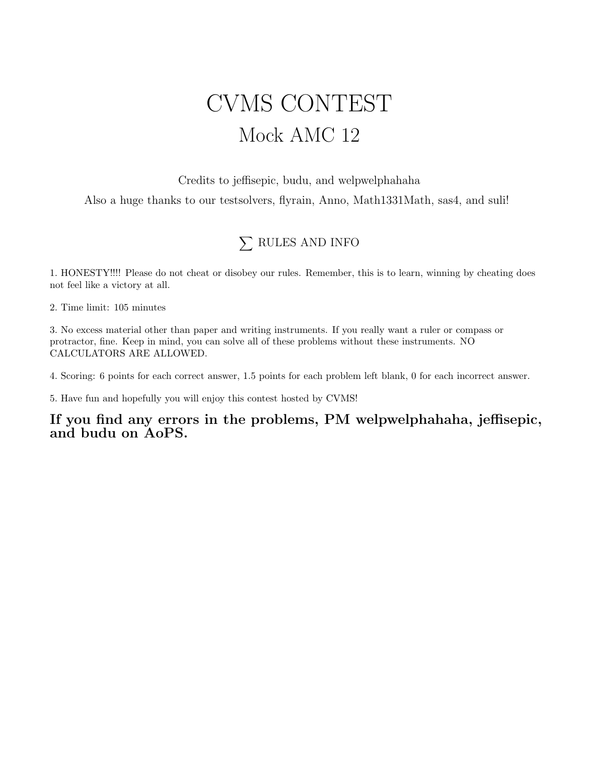## CVMS CONTEST Mock AMC 12

Credits to jeffisepic, budu, and welpwelphahaha Also a huge thanks to our testsolvers, flyrain, Anno, Math1331Math, sas4, and suli!

## $\sum$  RULES AND INFO

1. HONESTY!!!! Please do not cheat or disobey our rules. Remember, this is to learn, winning by cheating does not feel like a victory at all.

2. Time limit: 105 minutes

3. No excess material other than paper and writing instruments. If you really want a ruler or compass or protractor, fine. Keep in mind, you can solve all of these problems without these instruments. NO CALCULATORS ARE ALLOWED.

4. Scoring: 6 points for each correct answer, 1.5 points for each problem left blank, 0 for each incorrect answer.

5. Have fun and hopefully you will enjoy this contest hosted by CVMS!

If you find any errors in the problems, PM welpwelphahaha, jeffisepic, and budu on AoPS.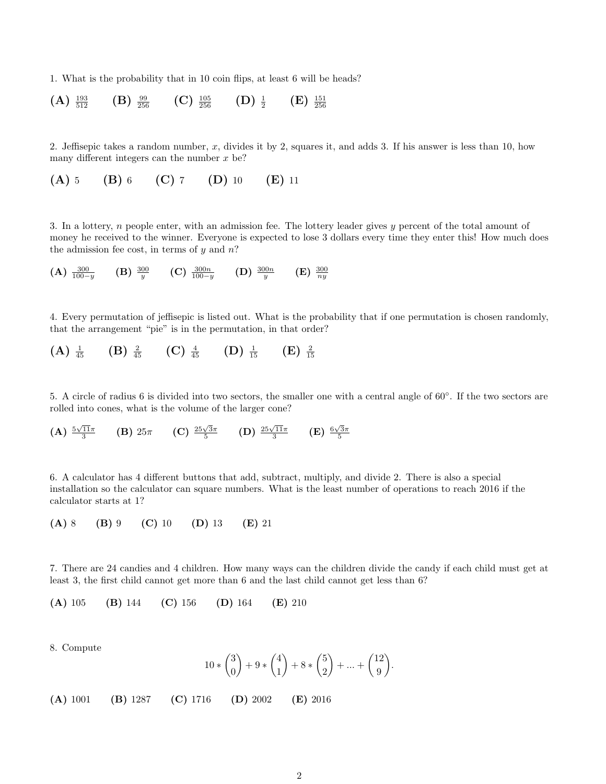1. What is the probability that in 10 coin flips, at least 6 will be heads?

 $(A) \frac{193}{512}$  $(B) \frac{99}{256}$  $(C)$   $\frac{105}{256}$  $\frac{105}{256}$  (D)  $\frac{1}{2}$  $(E)$   $\frac{151}{256}$ 

2. Jeffisepic takes a random number, x, divides it by 2, squares it, and adds 3. If his answer is less than 10, how many different integers can the number  $x$  be?

(A) 5 (B) 6 (C) 7 (D) 10 (E) 11

3. In a lottery, n people enter, with an admission fee. The lottery leader gives y percent of the total amount of money he received to the winner. Everyone is expected to lose 3 dollars every time they enter this! How much does the admission fee cost, in terms of  $y$  and  $n$ ?

(A) 
$$
\frac{300}{100-y}
$$
 (B)  $\frac{300}{y}$  (C)  $\frac{300n}{100-y}$  (D)  $\frac{300n}{y}$  (E)  $\frac{300}{ny}$ 

4. Every permutation of jeffisepic is listed out. What is the probability that if one permutation is chosen randomly, that the arrangement "pie" is in the permutation, in that order?

(A) 
$$
\frac{1}{45}
$$
 (B)  $\frac{2}{45}$  (C)  $\frac{4}{45}$  (D)  $\frac{1}{15}$  (E)  $\frac{2}{15}$ 

5. A circle of radius 6 is divided into two sectors, the smaller one with a central angle of 60◦ . If the two sectors are rolled into cones, what is the volume of the larger cone?

(A) 
$$
\frac{5\sqrt{11}\pi}{3}
$$
 (B)  $25\pi$  (C)  $\frac{25\sqrt{3}\pi}{5}$  (D)  $\frac{25\sqrt{11}\pi}{3}$  (E)  $\frac{6\sqrt{3}\pi}{5}$ 

6. A calculator has 4 different buttons that add, subtract, multiply, and divide 2. There is also a special installation so the calculator can square numbers. What is the least number of operations to reach 2016 if the calculator starts at 1?

$$
(A) 8 (B) 9 (C) 10 (D) 13 (E) 21
$$

7. There are 24 candies and 4 children. How many ways can the children divide the candy if each child must get at least 3, the first child cannot get more than 6 and the last child cannot get less than 6?

(A) 105 (B) 144 (C) 156 (D) 164 (E) 210

8. Compute

$$
10*\binom{3}{0}+9*\binom{4}{1}+8*\binom{5}{2}+\ldots+\binom{12}{9}.
$$

(A) 1001 (B) 1287 (C) 1716 (D) 2002 (E) 2016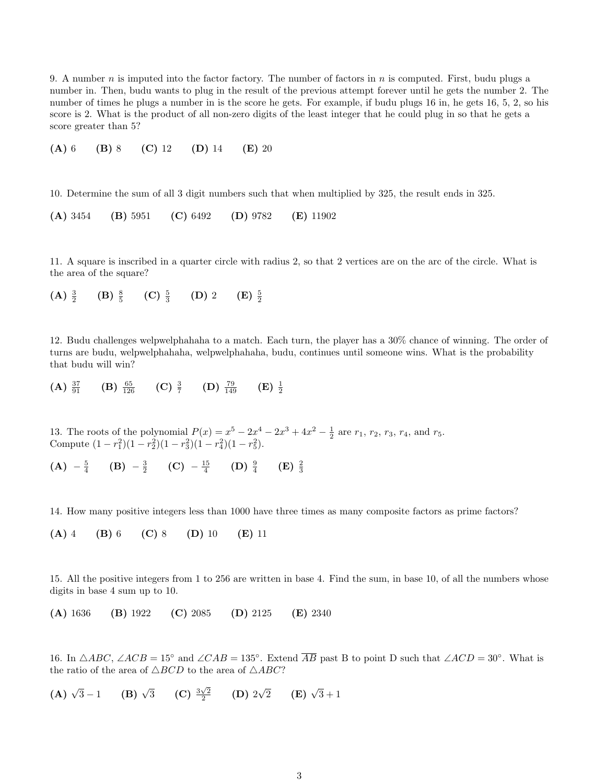9. A number n is imputed into the factor factory. The number of factors in n is computed. First, budu plugs a number in. Then, budu wants to plug in the result of the previous attempt forever until he gets the number 2. The number of times he plugs a number in is the score he gets. For example, if budu plugs 16 in, he gets 16, 5, 2, so his score is 2. What is the product of all non-zero digits of the least integer that he could plug in so that he gets a score greater than 5?

(A) 6 (B) 8 (C) 12 (D) 14 (E) 20

10. Determine the sum of all 3 digit numbers such that when multiplied by 325, the result ends in 325.

(A) 3454 (B) 5951 (C) 6492 (D) 9782 (E) 11902

11. A square is inscribed in a quarter circle with radius 2, so that 2 vertices are on the arc of the circle. What is the area of the square?

 $(A) \frac{3}{2}$  $(B) \frac{8}{5}$ (C)  $\frac{5}{3}$  $(D)$  2  $(E) \frac{5}{2}$ 

12. Budu challenges welpwelphahaha to a match. Each turn, the player has a 30% chance of winning. The order of turns are budu, welpwelphahaha, welpwelphahaha, budu, continues until someone wins. What is the probability that budu will win?

(A)  $\frac{37}{91}$  (B)  $\frac{65}{126}$  (C)  $\frac{3}{7}$  (D)  $\frac{79}{149}$  (E)  $\frac{1}{2}$ 

13. The roots of the polynomial  $P(x) = x^5 - 2x^4 - 2x^3 + 4x^2 - \frac{1}{2}$  are  $r_1$ ,  $r_2$ ,  $r_3$ ,  $r_4$ , and  $r_5$ . Compute  $(1 - r_1^2)(1 - r_2^2)(1 - r_3^2)(1 - r_4^2)(1 - r_5^2)$ .

(A)  $-\frac{5}{4}$  (B)  $-\frac{3}{2}$  (C)  $-\frac{15}{4}$  (D)  $\frac{9}{4}$  (E)  $\frac{2}{3}$ 

14. How many positive integers less than 1000 have three times as many composite factors as prime factors?

(A) 4 (B) 6 (C) 8 (D) 10 (E) 11

15. All the positive integers from 1 to 256 are written in base 4. Find the sum, in base 10, of all the numbers whose digits in base 4 sum up to 10.

(A) 1636 (B) 1922 (C) 2085 (D) 2125 (E) 2340

16. In  $\triangle ABC$ ,  $\angle ACB = 15^\circ$  and  $\angle CAB = 135^\circ$ . Extend  $\overline{AB}$  past B to point D such that  $\angle ACD = 30^\circ$ . What is the ratio of the area of  $\triangle BCD$  to the area of  $\triangle ABC$ ?

**(A)** 
$$
\sqrt{3}-1
$$
 **(B)**  $\sqrt{3}$  **(C)**  $\frac{3\sqrt{2}}{2}$  **(D)**  $2\sqrt{2}$  **(E)**  $\sqrt{3}+1$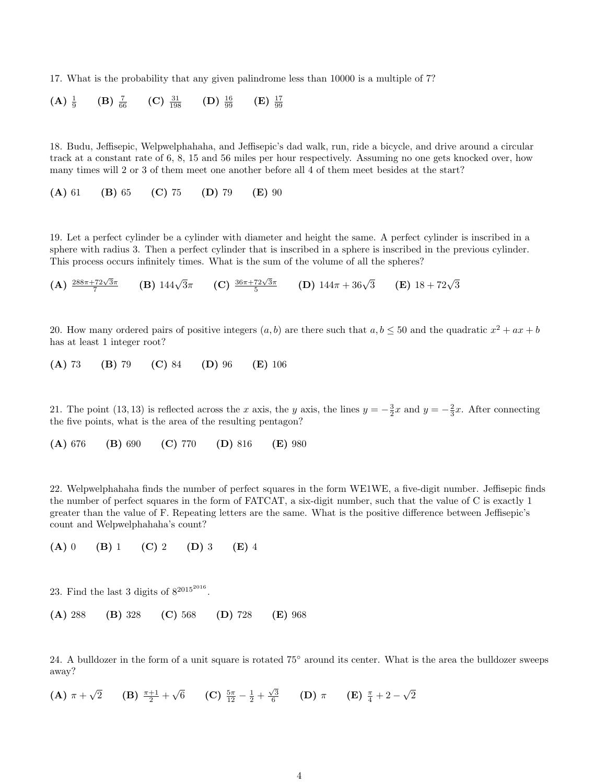17. What is the probability that any given palindrome less than 10000 is a multiple of 7?

(A) 
$$
\frac{1}{9}
$$
 (B)  $\frac{7}{66}$  (C)  $\frac{31}{198}$  (D)  $\frac{16}{99}$  (E)  $\frac{17}{99}$ 

18. Budu, Jeffisepic, Welpwelphahaha, and Jeffisepic's dad walk, run, ride a bicycle, and drive around a circular track at a constant rate of 6, 8, 15 and 56 miles per hour respectively. Assuming no one gets knocked over, how many times will 2 or 3 of them meet one another before all 4 of them meet besides at the start?

(A) 61 (B) 65 (C) 75 (D) 79 (E) 90

19. Let a perfect cylinder be a cylinder with diameter and height the same. A perfect cylinder is inscribed in a sphere with radius 3. Then a perfect cylinder that is inscribed in a sphere is inscribed in the previous cylinder. This process occurs infinitely times. What is the sum of the volume of all the spheres?

 $(A) \frac{288\pi + 72\sqrt{3}\pi}{7}$ **(B)**  $144\sqrt{3}\pi$  **(C)**  $\frac{36\pi + 72\sqrt{3}\pi}{5}$  **(D)**  $144\pi + 36\sqrt{3}$  **(E)**  $18 + 72\sqrt{3}$ 

20. How many ordered pairs of positive integers  $(a, b)$  are there such that  $a, b \le 50$  and the quadratic  $x^2 + ax + b$ has at least 1 integer root?

(A) 73 (B) 79 (C) 84 (D) 96 (E) 106

21. The point (13, 13) is reflected across the x axis, the y axis, the lines  $y = -\frac{3}{2}x$  and  $y = -\frac{2}{3}x$ . After connecting the five points, what is the area of the resulting pentagon?

(A) 676 (B) 690 (C) 770 (D) 816 (E) 980

22. Welpwelphahaha finds the number of perfect squares in the form WE1WE, a five-digit number. Jeffisepic finds the number of perfect squares in the form of FATCAT, a six-digit number, such that the value of C is exactly 1 greater than the value of F. Repeating letters are the same. What is the positive difference between Jeffisepic's count and Welpwelphahaha's count?

(A) 0 (B) 1 (C) 2 (D) 3 (E) 4

23. Find the last 3 digits of  $8^{2015^{2016}}$ .

(A) 288 (B) 328 (C) 568 (D) 728 (E) 968

24. A bulldozer in the form of a unit square is rotated 75° around its center. What is the area the bulldozer sweeps away?

(A)  $\pi + \sqrt{2}$  (B)  $\frac{\pi+1}{2} + \sqrt{6}$  (C)  $\frac{5\pi}{12} - \frac{1}{2} + \frac{\sqrt{3}}{6}$  (D)  $\pi$  (E)  $\frac{\pi}{4} + 2 - \sqrt{2}$